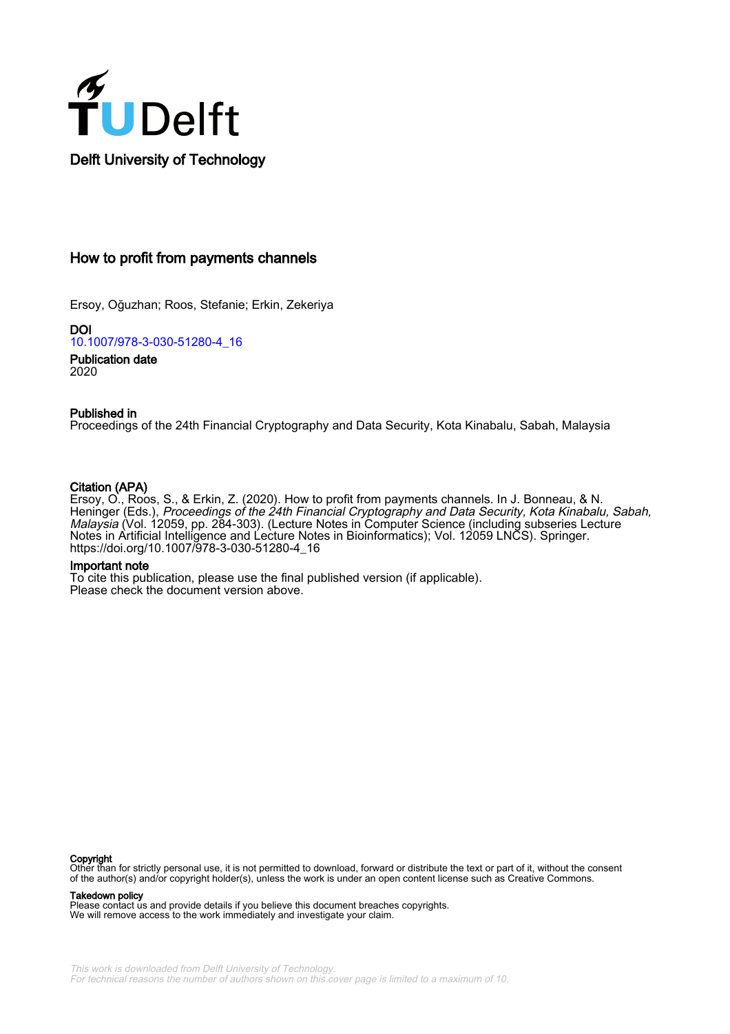

# How to profit from payments channels

Ersoy, Oğuzhan; Roos, Stefanie; Erkin, Zekeriya

DOI [10.1007/978-3-030-51280-4\\_16](https://doi.org/10.1007/978-3-030-51280-4_16)

Publication date 2020

# Published in

Proceedings of the 24th Financial Cryptography and Data Security, Kota Kinabalu, Sabah, Malaysia

# Citation (APA)

Ersoy, O., Roos, S., & Erkin, Z. (2020). How to profit from payments channels. In J. Bonneau, & N. Heninger (Eds.), Proceedings of the 24th Financial Cryptography and Data Security, Kota Kinabalu, Sabah, Malaysia (Vol. 12059, pp. 284-303). (Lecture Notes in Computer Science (including subseries Lecture Notes in Artificial Intelligence and Lecture Notes in Bioinformatics); Vol. 12059 LNCS). Springer. [https://doi.org/10.1007/978-3-030-51280-4\\_16](https://doi.org/10.1007/978-3-030-51280-4_16)

### Important note

To cite this publication, please use the final published version (if applicable). Please check the document version above.

#### Copyright

Other than for strictly personal use, it is not permitted to download, forward or distribute the text or part of it, without the consent of the author(s) and/or copyright holder(s), unless the work is under an open content license such as Creative Commons.

#### Takedown policy

Please contact us and provide details if you believe this document breaches copyrights. We will remove access to the work immediately and investigate your claim.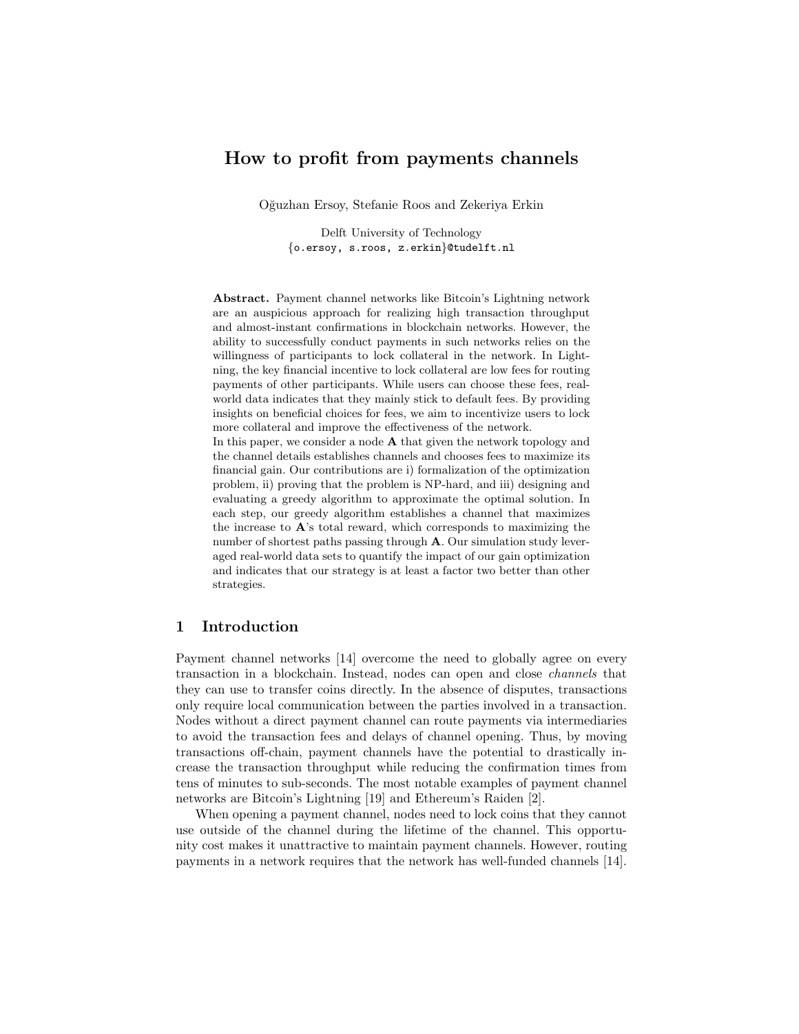# How to profit from payments channels

O˘guzhan Ersoy, Stefanie Roos and Zekeriya Erkin

Delft University of Technology {o.ersoy, s.roos, z.erkin}@tudelft.nl

Abstract. Payment channel networks like Bitcoin's Lightning network are an auspicious approach for realizing high transaction throughput and almost-instant confirmations in blockchain networks. However, the ability to successfully conduct payments in such networks relies on the willingness of participants to lock collateral in the network. In Lightning, the key financial incentive to lock collateral are low fees for routing payments of other participants. While users can choose these fees, realworld data indicates that they mainly stick to default fees. By providing insights on beneficial choices for fees, we aim to incentivize users to lock more collateral and improve the effectiveness of the network.

In this paper, we consider a node **A** that given the network topology and the channel details establishes channels and chooses fees to maximize its financial gain. Our contributions are i) formalization of the optimization problem, ii) proving that the problem is NP-hard, and iii) designing and evaluating a greedy algorithm to approximate the optimal solution. In each step, our greedy algorithm establishes a channel that maximizes the increase to  $\mathbf{A}$ 's total reward, which corresponds to maximizing the number of shortest paths passing through A. Our simulation study leveraged real-world data sets to quantify the impact of our gain optimization and indicates that our strategy is at least a factor two better than other strategies.

# 1 Introduction

Payment channel networks [14] overcome the need to globally agree on every transaction in a blockchain. Instead, nodes can open and close channels that they can use to transfer coins directly. In the absence of disputes, transactions only require local communication between the parties involved in a transaction. Nodes without a direct payment channel can route payments via intermediaries to avoid the transaction fees and delays of channel opening. Thus, by moving transactions off-chain, payment channels have the potential to drastically increase the transaction throughput while reducing the confirmation times from tens of minutes to sub-seconds. The most notable examples of payment channel networks are Bitcoin's Lightning [19] and Ethereum's Raiden [2].

When opening a payment channel, nodes need to lock coins that they cannot use outside of the channel during the lifetime of the channel. This opportunity cost makes it unattractive to maintain payment channels. However, routing payments in a network requires that the network has well-funded channels [14].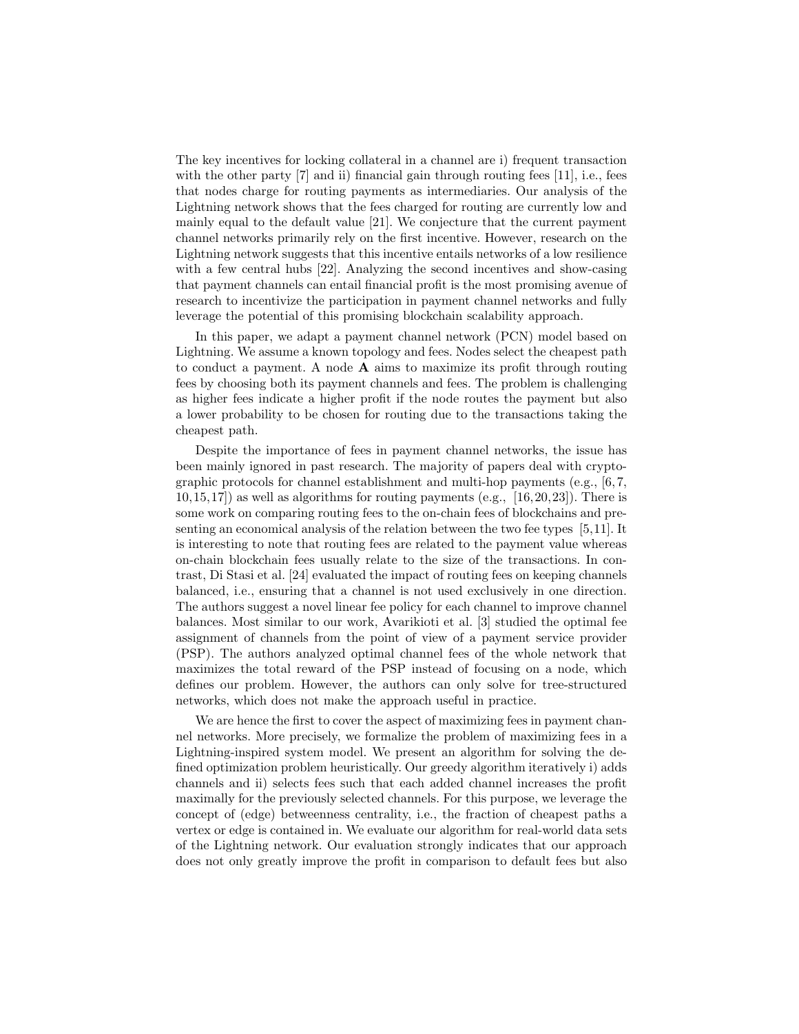The key incentives for locking collateral in a channel are i) frequent transaction with the other party  $[7]$  and ii) financial gain through routing fees  $[11]$ , i.e., fees that nodes charge for routing payments as intermediaries. Our analysis of the Lightning network shows that the fees charged for routing are currently low and mainly equal to the default value [21]. We conjecture that the current payment channel networks primarily rely on the first incentive. However, research on the Lightning network suggests that this incentive entails networks of a low resilience with a few central hubs [22]. Analyzing the second incentives and show-casing that payment channels can entail financial profit is the most promising avenue of research to incentivize the participation in payment channel networks and fully leverage the potential of this promising blockchain scalability approach.

In this paper, we adapt a payment channel network (PCN) model based on Lightning. We assume a known topology and fees. Nodes select the cheapest path to conduct a payment. A node  $\bf{A}$  aims to maximize its profit through routing fees by choosing both its payment channels and fees. The problem is challenging as higher fees indicate a higher profit if the node routes the payment but also a lower probability to be chosen for routing due to the transactions taking the cheapest path.

Despite the importance of fees in payment channel networks, the issue has been mainly ignored in past research. The majority of papers deal with cryptographic protocols for channel establishment and multi-hop payments (e.g.,  $[6, 7]$ ,  $10,15,17$ ) as well as algorithms for routing payments (e.g.,  $[16,20,23]$ ). There is some work on comparing routing fees to the on-chain fees of blockchains and presenting an economical analysis of the relation between the two fee types [5,11]. It is interesting to note that routing fees are related to the payment value whereas on-chain blockchain fees usually relate to the size of the transactions. In contrast, Di Stasi et al. [24] evaluated the impact of routing fees on keeping channels balanced, i.e., ensuring that a channel is not used exclusively in one direction. The authors suggest a novel linear fee policy for each channel to improve channel balances. Most similar to our work, Avarikioti et al. [3] studied the optimal fee assignment of channels from the point of view of a payment service provider (PSP). The authors analyzed optimal channel fees of the whole network that maximizes the total reward of the PSP instead of focusing on a node, which defines our problem. However, the authors can only solve for tree-structured networks, which does not make the approach useful in practice.

We are hence the first to cover the aspect of maximizing fees in payment channel networks. More precisely, we formalize the problem of maximizing fees in a Lightning-inspired system model. We present an algorithm for solving the defined optimization problem heuristically. Our greedy algorithm iteratively i) adds channels and ii) selects fees such that each added channel increases the profit maximally for the previously selected channels. For this purpose, we leverage the concept of (edge) betweenness centrality, i.e., the fraction of cheapest paths a vertex or edge is contained in. We evaluate our algorithm for real-world data sets of the Lightning network. Our evaluation strongly indicates that our approach does not only greatly improve the profit in comparison to default fees but also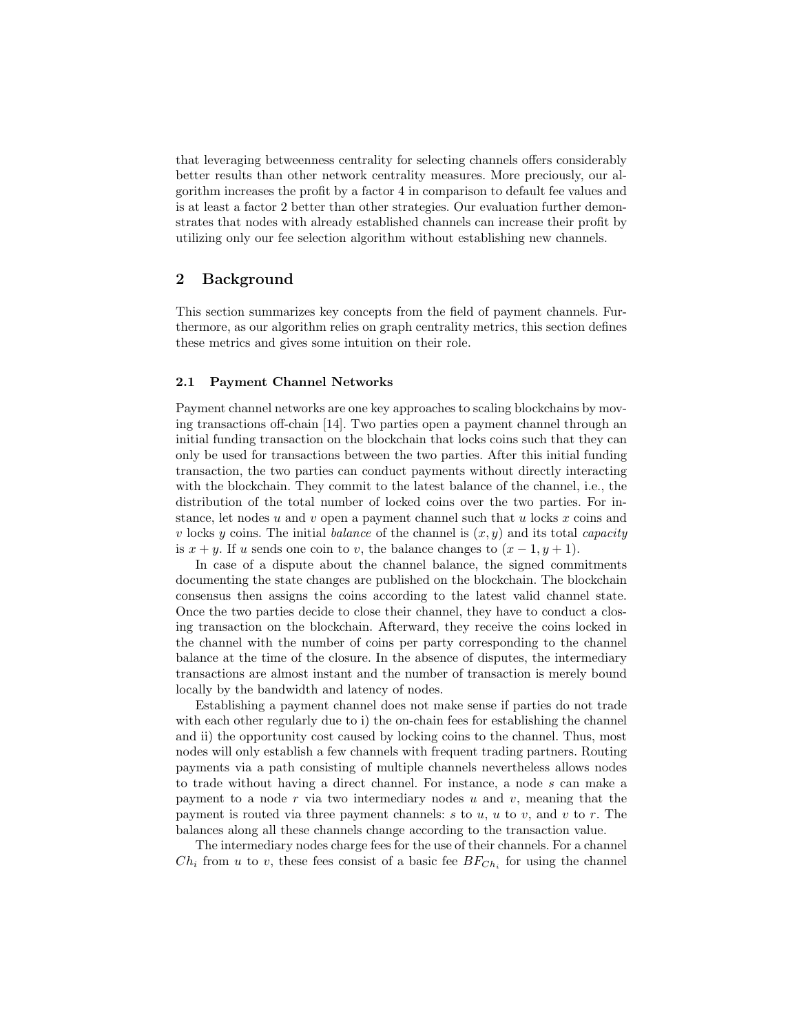that leveraging betweenness centrality for selecting channels offers considerably better results than other network centrality measures. More preciously, our algorithm increases the profit by a factor 4 in comparison to default fee values and is at least a factor 2 better than other strategies. Our evaluation further demonstrates that nodes with already established channels can increase their profit by utilizing only our fee selection algorithm without establishing new channels.

# 2 Background

This section summarizes key concepts from the field of payment channels. Furthermore, as our algorithm relies on graph centrality metrics, this section defines these metrics and gives some intuition on their role.

### 2.1 Payment Channel Networks

Payment channel networks are one key approaches to scaling blockchains by moving transactions off-chain [14]. Two parties open a payment channel through an initial funding transaction on the blockchain that locks coins such that they can only be used for transactions between the two parties. After this initial funding transaction, the two parties can conduct payments without directly interacting with the blockchain. They commit to the latest balance of the channel, i.e., the distribution of the total number of locked coins over the two parties. For instance, let nodes  $u$  and  $v$  open a payment channel such that  $u$  locks  $x$  coins and v locks y coins. The initial balance of the channel is  $(x, y)$  and its total capacity is  $x + y$ . If u sends one coin to v, the balance changes to  $(x - 1, y + 1)$ .

In case of a dispute about the channel balance, the signed commitments documenting the state changes are published on the blockchain. The blockchain consensus then assigns the coins according to the latest valid channel state. Once the two parties decide to close their channel, they have to conduct a closing transaction on the blockchain. Afterward, they receive the coins locked in the channel with the number of coins per party corresponding to the channel balance at the time of the closure. In the absence of disputes, the intermediary transactions are almost instant and the number of transaction is merely bound locally by the bandwidth and latency of nodes.

Establishing a payment channel does not make sense if parties do not trade with each other regularly due to i) the on-chain fees for establishing the channel and ii) the opportunity cost caused by locking coins to the channel. Thus, most nodes will only establish a few channels with frequent trading partners. Routing payments via a path consisting of multiple channels nevertheless allows nodes to trade without having a direct channel. For instance, a node s can make a payment to a node r via two intermediary nodes u and v, meaning that the payment is routed via three payment channels: s to u, u to v, and v to r. The balances along all these channels change according to the transaction value.

The intermediary nodes charge fees for the use of their channels. For a channel  $Ch_i$  from u to v, these fees consist of a basic fee  $BF_{Ch_i}$  for using the channel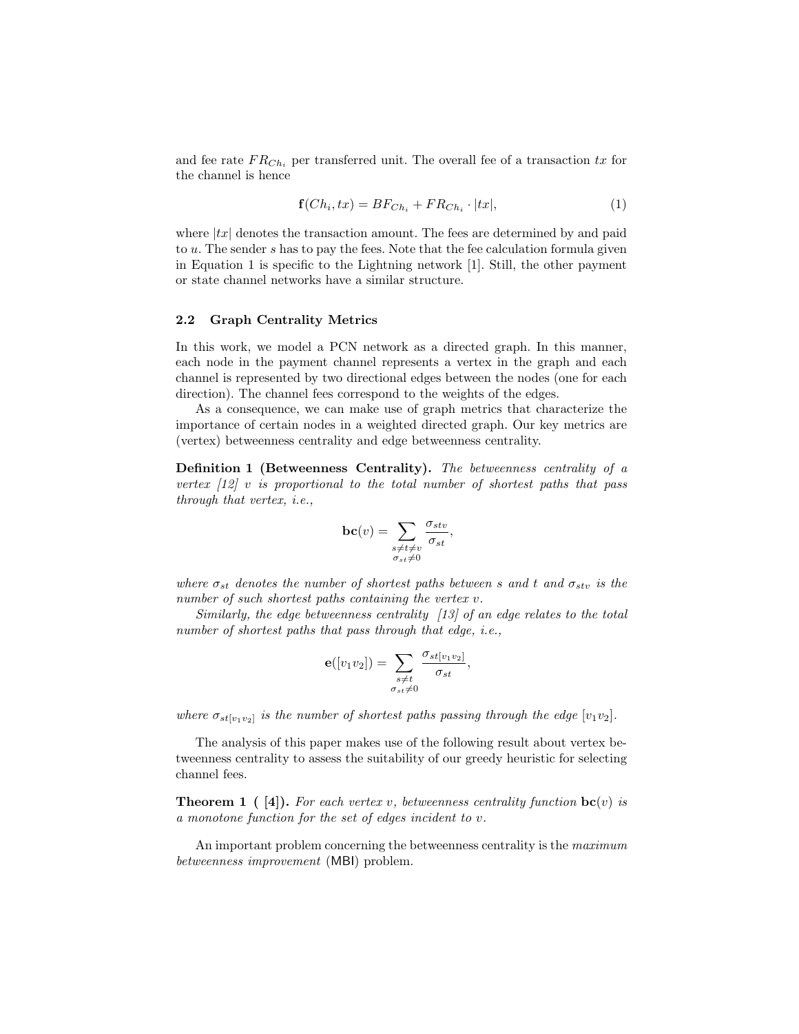and fee rate  $FR_{Ch_i}$  per transferred unit. The overall fee of a transaction tx for the channel is hence

$$
\mathbf{f}(Ch_i, tx) = BF_{Ch_i} + FR_{Ch_i} \cdot |tx|,\tag{1}
$$

where  $|tx|$  denotes the transaction amount. The fees are determined by and paid to u. The sender s has to pay the fees. Note that the fee calculation formula given in Equation 1 is specific to the Lightning network [1]. Still, the other payment or state channel networks have a similar structure.

#### 2.2 Graph Centrality Metrics

In this work, we model a PCN network as a directed graph. In this manner, each node in the payment channel represents a vertex in the graph and each channel is represented by two directional edges between the nodes (one for each direction). The channel fees correspond to the weights of the edges.

As a consequence, we can make use of graph metrics that characterize the importance of certain nodes in a weighted directed graph. Our key metrics are (vertex) betweenness centrality and edge betweenness centrality.

Definition 1 (Betweenness Centrality). The betweenness centrality of a vertex  $[12]$  v is proportional to the total number of shortest paths that pass through that vertex, i.e.,

$$
\mathbf{bc}(v) = \sum_{\substack{s \neq t \neq v \\ \sigma_{st} \neq 0}} \frac{\sigma_{stv}}{\sigma_{st}},
$$

where  $\sigma_{st}$  denotes the number of shortest paths between s and t and  $\sigma_{stv}$  is the number of such shortest paths containing the vertex v.

Similarly, the edge betweenness centrality [13] of an edge relates to the total number of shortest paths that pass through that edge, *i.e.*,

$$
\mathbf{e}([v_1v_2]) = \sum_{\substack{s \neq t \\ \sigma_{st} \neq 0}} \frac{\sigma_{st[v_1v_2]}}{\sigma_{st}},
$$

where  $\sigma_{st[v_1v_2]}$  is the number of shortest paths passing through the edge  $[v_1v_2]$ .

The analysis of this paper makes use of the following result about vertex betweenness centrality to assess the suitability of our greedy heuristic for selecting channel fees.

**Theorem 1** ( [4]). For each vertex v, betweenness centrality function  $\mathbf{bc}(v)$  is a monotone function for the set of edges incident to v.

An important problem concerning the betweenness centrality is the maximum betweenness improvement (MBI) problem.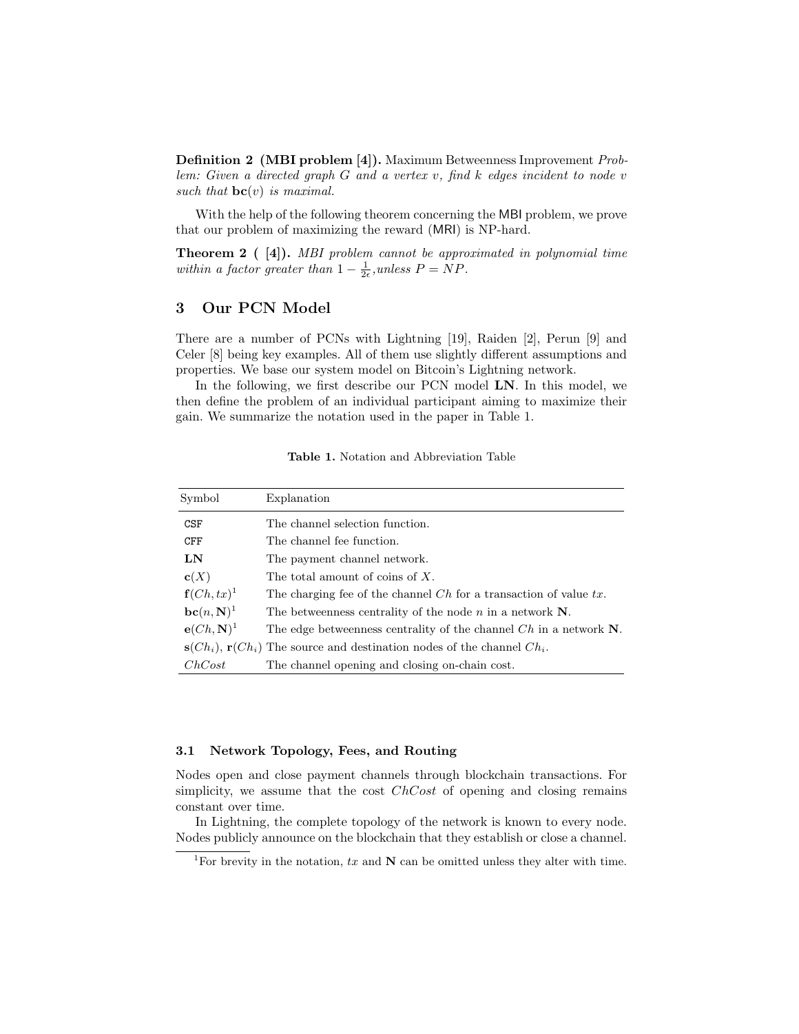Definition 2 (MBI problem [4]). Maximum Betweenness Improvement Problem: Given a directed graph G and a vertex v, find k edges incident to node v such that  $\mathbf{bc}(v)$  is maximal.

With the help of the following theorem concerning the MBI problem, we prove that our problem of maximizing the reward (MRI) is NP-hard.

Theorem 2 ( [4]). MBI problem cannot be approximated in polynomial time within a factor greater than  $1 - \frac{1}{2\epsilon}$ , unless  $P = NP$ .

# 3 Our PCN Model

There are a number of PCNs with Lightning [19], Raiden [2], Perun [9] and Celer [8] being key examples. All of them use slightly different assumptions and properties. We base our system model on Bitcoin's Lightning network.

In the following, we first describe our PCN model LN. In this model, we then define the problem of an individual participant aiming to maximize their gain. We summarize the notation used in the paper in Table 1.

| Symbol                         | Explanation                                                                                   |
|--------------------------------|-----------------------------------------------------------------------------------------------|
| CSF                            | The channel selection function.                                                               |
| CFF                            | The channel fee function.                                                                     |
| LN                             | The payment channel network.                                                                  |
| $\mathbf{c}(X)$                | The total amount of coins of $X$ .                                                            |
| $f(Ch,tx)^1$                   | The charging fee of the channel $Ch$ for a transaction of value tx.                           |
| $\mathbf{bc}(n, \mathbf{N})^1$ | The betweenness centrality of the node $n$ in a network $N$ .                                 |
| ${\bf e}(Ch,{\bf N})^1$        | The edge betweenness centrality of the channel $Ch$ in a network $N$ .                        |
|                                | $\mathbf{s}(Ch_i), \mathbf{r}(Ch_i)$ The source and destination nodes of the channel $Ch_i$ . |
| ChCost                         | The channel opening and closing on-chain cost.                                                |

Table 1. Notation and Abbreviation Table

#### 3.1 Network Topology, Fees, and Routing

Nodes open and close payment channels through blockchain transactions. For simplicity, we assume that the cost ChCost of opening and closing remains constant over time.

In Lightning, the complete topology of the network is known to every node. Nodes publicly announce on the blockchain that they establish or close a channel.

<sup>&</sup>lt;sup>1</sup>For brevity in the notation,  $tx$  and  $N$  can be omitted unless they alter with time.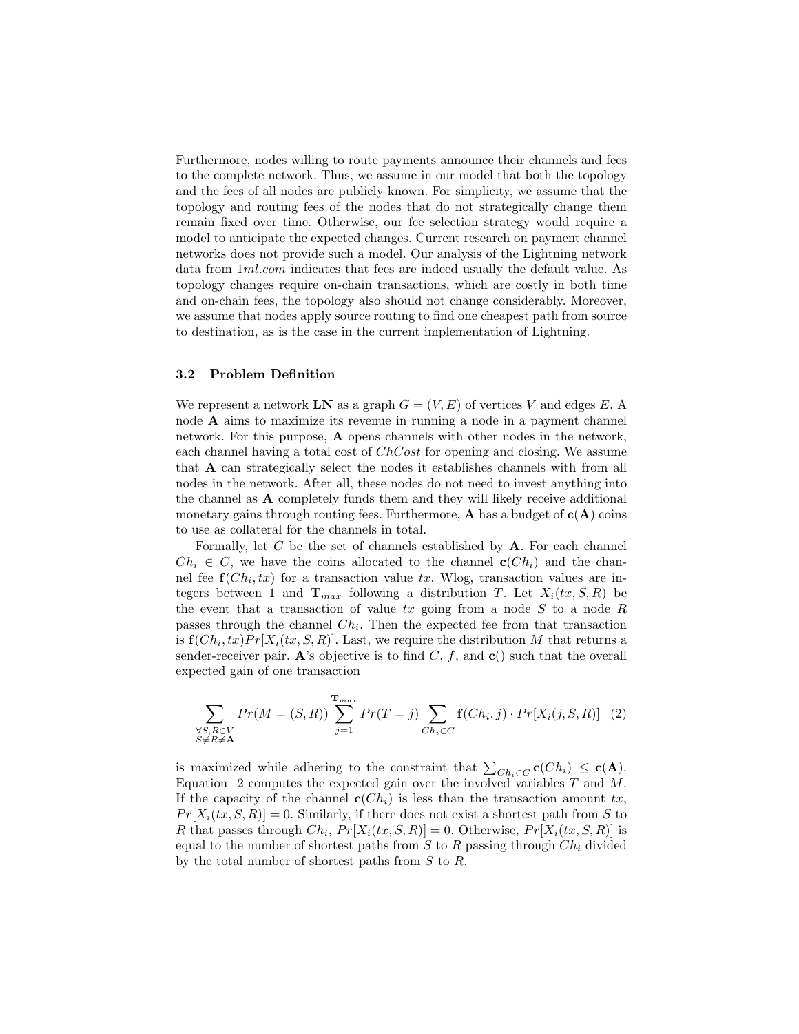Furthermore, nodes willing to route payments announce their channels and fees to the complete network. Thus, we assume in our model that both the topology and the fees of all nodes are publicly known. For simplicity, we assume that the topology and routing fees of the nodes that do not strategically change them remain fixed over time. Otherwise, our fee selection strategy would require a model to anticipate the expected changes. Current research on payment channel networks does not provide such a model. Our analysis of the Lightning network data from 1ml.com indicates that fees are indeed usually the default value. As topology changes require on-chain transactions, which are costly in both time and on-chain fees, the topology also should not change considerably. Moreover, we assume that nodes apply source routing to find one cheapest path from source to destination, as is the case in the current implementation of Lightning.

### 3.2 Problem Definition

We represent a network LN as a graph  $G = (V, E)$  of vertices V and edges E. A node A aims to maximize its revenue in running a node in a payment channel network. For this purpose, A opens channels with other nodes in the network, each channel having a total cost of ChCost for opening and closing. We assume that A can strategically select the nodes it establishes channels with from all nodes in the network. After all, these nodes do not need to invest anything into the channel as A completely funds them and they will likely receive additional monetary gains through routing fees. Furthermore, **A** has a budget of  $c(A)$  coins to use as collateral for the channels in total.

Formally, let  $C$  be the set of channels established by  $A$ . For each channel  $Ch_i \in C$ , we have the coins allocated to the channel  $c(Ch_i)$  and the channel fee  $f(Ch_i, tx)$  for a transaction value tx. Wlog, transaction values are integers between 1 and  $\mathbf{T}_{max}$  following a distribution T. Let  $X_i(tx, S, R)$  be the event that a transaction of value  $tx$  going from a node  $S$  to a node  $R$ passes through the channel  $Ch_i$ . Then the expected fee from that transaction is  $\mathbf{f}(Ch_i, tx)Pr[X_i(tx, S, R)]$ . Last, we require the distribution M that returns a sender-receiver pair. A's objective is to find  $C, f$ , and  $\mathbf{c}$ () such that the overall expected gain of one transaction

$$
\sum_{\substack{\forall S, R \in V \\ S \neq R \neq \mathbf{A}}} Pr(M = (S, R)) \sum_{j=1}^{\mathbf{T}_{max}} Pr(T = j) \sum_{Ch_i \in C} \mathbf{f}(Ch_i, j) \cdot Pr[X_i(j, S, R)] \tag{2}
$$

is maximized while adhering to the constraint that  $\sum_{Ch_i \in C} \mathbf{c}(Ch_i) \leq \mathbf{c}(\mathbf{A})$ . Equation 2 computes the expected gain over the involved variables  $T$  and  $M$ . If the capacity of the channel  $c(Ch_i)$  is less than the transaction amount tx,  $Pr[X_i(tx, S, R)] = 0$ . Similarly, if there does not exist a shortest path from S to R that passes through  $Ch_i$ ,  $Pr[X_i(tx, S, R)] = 0$ . Otherwise,  $Pr[X_i(tx, S, R)]$  is equal to the number of shortest paths from  $S$  to  $R$  passing through  $Ch_i$  divided by the total number of shortest paths from  $S$  to  $R$ .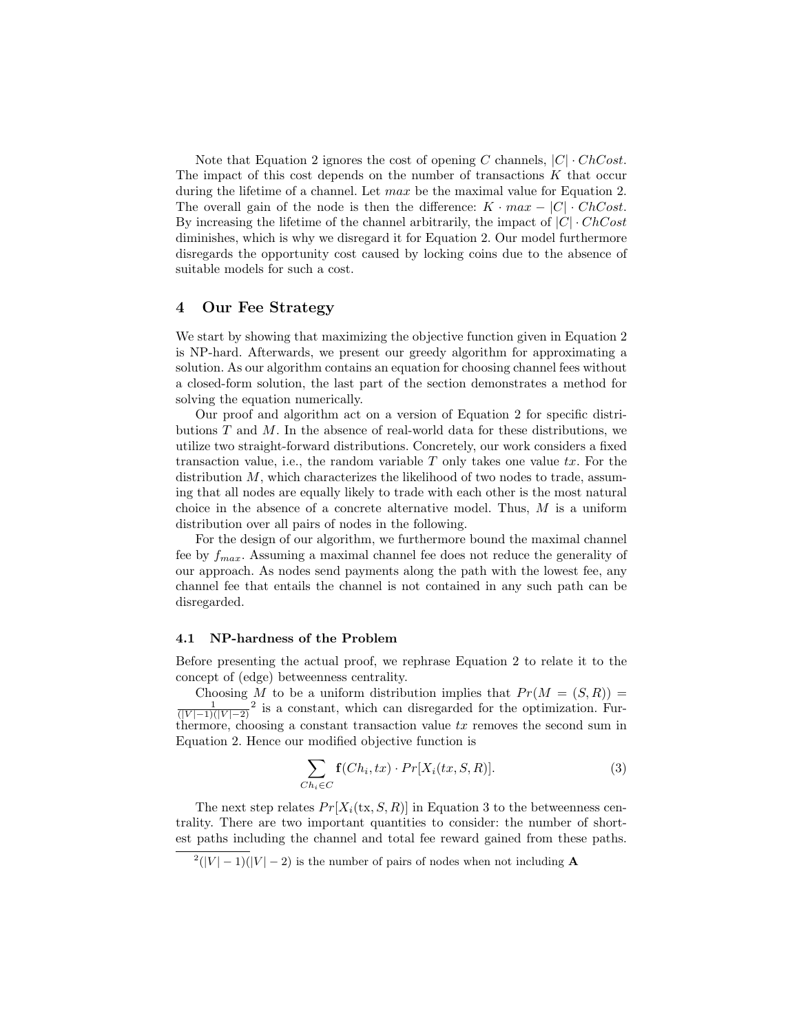Note that Equation 2 ignores the cost of opening C channels,  $|C| \cdot ChCost$ . The impact of this cost depends on the number of transactions  $K$  that occur during the lifetime of a channel. Let  $max$  be the maximal value for Equation 2. The overall gain of the node is then the difference:  $K \cdot max - |C| \cdot ChCost$ . By increasing the lifetime of the channel arbitrarily, the impact of  $|C| \cdot ChCost$ diminishes, which is why we disregard it for Equation 2. Our model furthermore disregards the opportunity cost caused by locking coins due to the absence of suitable models for such a cost.

# 4 Our Fee Strategy

We start by showing that maximizing the objective function given in Equation 2 is NP-hard. Afterwards, we present our greedy algorithm for approximating a solution. As our algorithm contains an equation for choosing channel fees without a closed-form solution, the last part of the section demonstrates a method for solving the equation numerically.

Our proof and algorithm act on a version of Equation 2 for specific distributions  $T$  and  $M$ . In the absence of real-world data for these distributions, we utilize two straight-forward distributions. Concretely, our work considers a fixed transaction value, i.e., the random variable  $T$  only takes one value  $tx$ . For the distribution  $M$ , which characterizes the likelihood of two nodes to trade, assuming that all nodes are equally likely to trade with each other is the most natural choice in the absence of a concrete alternative model. Thus,  $M$  is a uniform distribution over all pairs of nodes in the following.

For the design of our algorithm, we furthermore bound the maximal channel fee by  $f_{max}$ . Assuming a maximal channel fee does not reduce the generality of our approach. As nodes send payments along the path with the lowest fee, any channel fee that entails the channel is not contained in any such path can be disregarded.

### 4.1 NP-hardness of the Problem

Before presenting the actual proof, we rephrase Equation 2 to relate it to the concept of (edge) betweenness centrality.

Choosing M to be a uniform distribution implies that  $Pr(M = (S, R))$  $\frac{1}{(|V| - 1)(|V| - 2)}$ <sup>2</sup> is a constant, which can disregarded for the optimization. Furthermore, choosing a constant transaction value  $tx$  removes the second sum in Equation 2. Hence our modified objective function is

$$
\sum_{Ch_i \in C} \mathbf{f}(Ch_i, tx) \cdot Pr[X_i(tx, S, R)]. \tag{3}
$$

The next step relates  $Pr[X_i(\text{tx}, S, R)]$  in Equation 3 to the betweenness centrality. There are two important quantities to consider: the number of shortest paths including the channel and total fee reward gained from these paths.

 $2(|V| - 1)(|V| - 2)$  is the number of pairs of nodes when not including **A**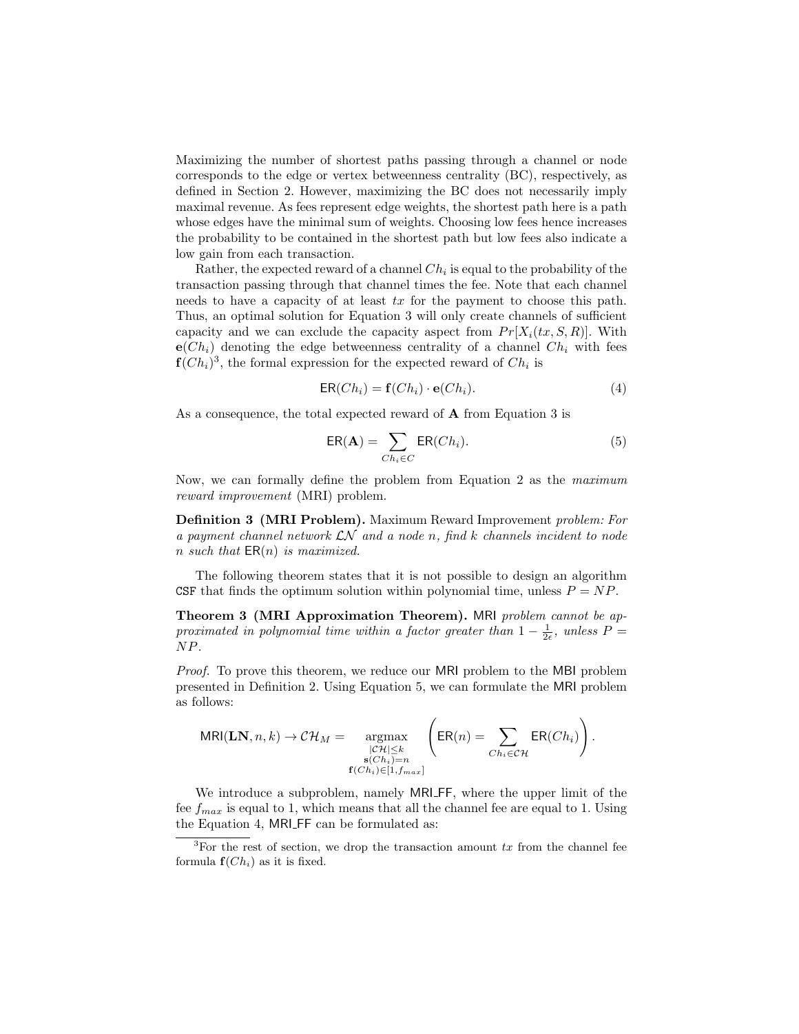Maximizing the number of shortest paths passing through a channel or node corresponds to the edge or vertex betweenness centrality (BC), respectively, as defined in Section 2. However, maximizing the BC does not necessarily imply maximal revenue. As fees represent edge weights, the shortest path here is a path whose edges have the minimal sum of weights. Choosing low fees hence increases the probability to be contained in the shortest path but low fees also indicate a low gain from each transaction.

Rather, the expected reward of a channel  $Ch_i$  is equal to the probability of the transaction passing through that channel times the fee. Note that each channel needs to have a capacity of at least  $tx$  for the payment to choose this path. Thus, an optimal solution for Equation 3 will only create channels of sufficient capacity and we can exclude the capacity aspect from  $Pr[X_i(tx, S, R)]$ . With  $e(Ch_i)$  denoting the edge betweenness centrality of a channel  $Ch_i$  with fees  $\mathbf{f}(Ch_i)^3$ , the formal expression for the expected reward of  $Ch_i$  is

$$
ER(Ch_i) = \mathbf{f}(Ch_i) \cdot \mathbf{e}(Ch_i). \tag{4}
$$

As a consequence, the total expected reward of **A** from Equation 3 is

$$
ER(\mathbf{A}) = \sum_{Ch_i \in C} ER(Ch_i). \tag{5}
$$

Now, we can formally define the problem from Equation 2 as the maximum reward improvement (MRI) problem.

Definition 3 (MRI Problem). Maximum Reward Improvement problem: For a payment channel network  $\mathcal{LN}$  and a node n, find k channels incident to node n such that  $ER(n)$  is maximized.

The following theorem states that it is not possible to design an algorithm CSF that finds the optimum solution within polynomial time, unless  $P = NP$ .

Theorem 3 (MRI Approximation Theorem). MRI problem cannot be approximated in polynomial time within a factor greater than  $1 - \frac{1}{2\epsilon}$ , unless  $P =$ NP.

*Proof.* To prove this theorem, we reduce our MRI problem to the MBI problem presented in Definition 2. Using Equation 5, we can formulate the MRI problem as follows:

$$
\mathsf{MRI}(\mathbf{LN}, n, k) \to \mathcal{CH}_M = \underset{\substack{\mathcal{C}\mathcal{H}|\leq k \\ \mathbf{s}(Ch_i)=n \\ \mathbf{f}(Ch_i)\in[1, f_{max}]} }{\text{argmax}} \left( \mathsf{ER}(n) = \sum_{Ch_i \in \mathcal{CH}} \mathsf{ER}(Ch_i) \right).
$$

We introduce a subproblem, namely MRI FF, where the upper limit of the fee  $f_{max}$  is equal to 1, which means that all the channel fee are equal to 1. Using the Equation 4, MRI\_FF can be formulated as:

<sup>&</sup>lt;sup>3</sup>For the rest of section, we drop the transaction amount  $tx$  from the channel fee formula  $f(Ch_i)$  as it is fixed.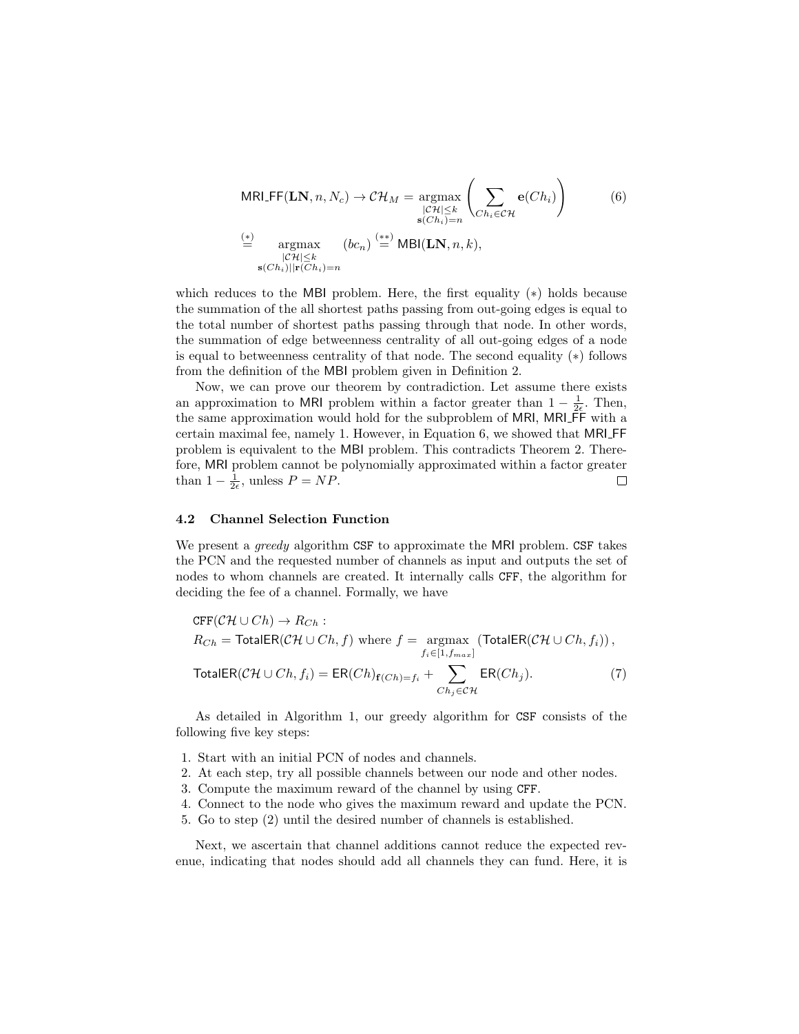$$
MRI. FF(\mathbf{LN}, n, N_c) \to \mathcal{CH}_M = \underset{\substack{|\mathcal{CH}| \leq k \\ \mathbf{s}(Ch_i) = n}}{\operatorname{argmax}} \left( \sum_{\substack{Ch_i \in \mathcal{CH} \\ \mathbf{s}(Ch_i) = n}} \mathbf{e}(Ch_i) \right)
$$
(6)  

$$
\stackrel{\text{(*)}}{=} \underset{\substack{|\mathcal{CH}| \leq k \\ \mathbf{s}(Ch_i) || \mathbf{r}(Ch_i) = n}}{\operatorname{argmax}} (bc_n) \stackrel{\text{(**)}}{=} MBI(\mathbf{LN}, n, k),
$$

which reduces to the MBI problem. Here, the first equality (∗) holds because the summation of the all shortest paths passing from out-going edges is equal to the total number of shortest paths passing through that node. In other words, the summation of edge betweenness centrality of all out-going edges of a node is equal to betweenness centrality of that node. The second equality (∗) follows from the definition of the MBI problem given in Definition 2.

Now, we can prove our theorem by contradiction. Let assume there exists an approximation to MRI problem within a factor greater than  $1 - \frac{1}{2\epsilon}$ . Then, the same approximation would hold for the subproblem of MRI, MRI\_FF with a certain maximal fee, namely 1. However, in Equation 6, we showed that MRI FF problem is equivalent to the MBI problem. This contradicts Theorem 2. Therefore, MRI problem cannot be polynomially approximated within a factor greater than  $1 - \frac{1}{2\epsilon}$ , unless  $P = NP$ .  $\Box$ 

#### 4.2 Channel Selection Function

We present a *greedy* algorithm CSF to approximate the MRI problem. CSF takes the PCN and the requested number of channels as input and outputs the set of nodes to whom channels are created. It internally calls CFF, the algorithm for deciding the fee of a channel. Formally, we have

$$
CFF(\mathcal{CH} \cup Ch) \to R_{Ch}:
$$
  
\n
$$
R_{Ch} = \text{TotalER}(\mathcal{CH} \cup Ch, f) \text{ where } f = \underset{f_i \in [1, f_{max}]}{\text{argmax}} (\text{TotalER}(\mathcal{CH} \cup Ch, f_i)),
$$
  
\n
$$
\text{TotalER}(\mathcal{CH} \cup Ch, f_i) = \text{ER}(Ch)_{f(Ch) = f_i} + \sum_{Ch_j \in \mathcal{CH}} \text{ER}(Ch_j).
$$
 (7)

As detailed in Algorithm 1, our greedy algorithm for CSF consists of the following five key steps:

- 1. Start with an initial PCN of nodes and channels.
- 2. At each step, try all possible channels between our node and other nodes.
- 3. Compute the maximum reward of the channel by using CFF.
- 4. Connect to the node who gives the maximum reward and update the PCN.
- 5. Go to step (2) until the desired number of channels is established.

Next, we ascertain that channel additions cannot reduce the expected revenue, indicating that nodes should add all channels they can fund. Here, it is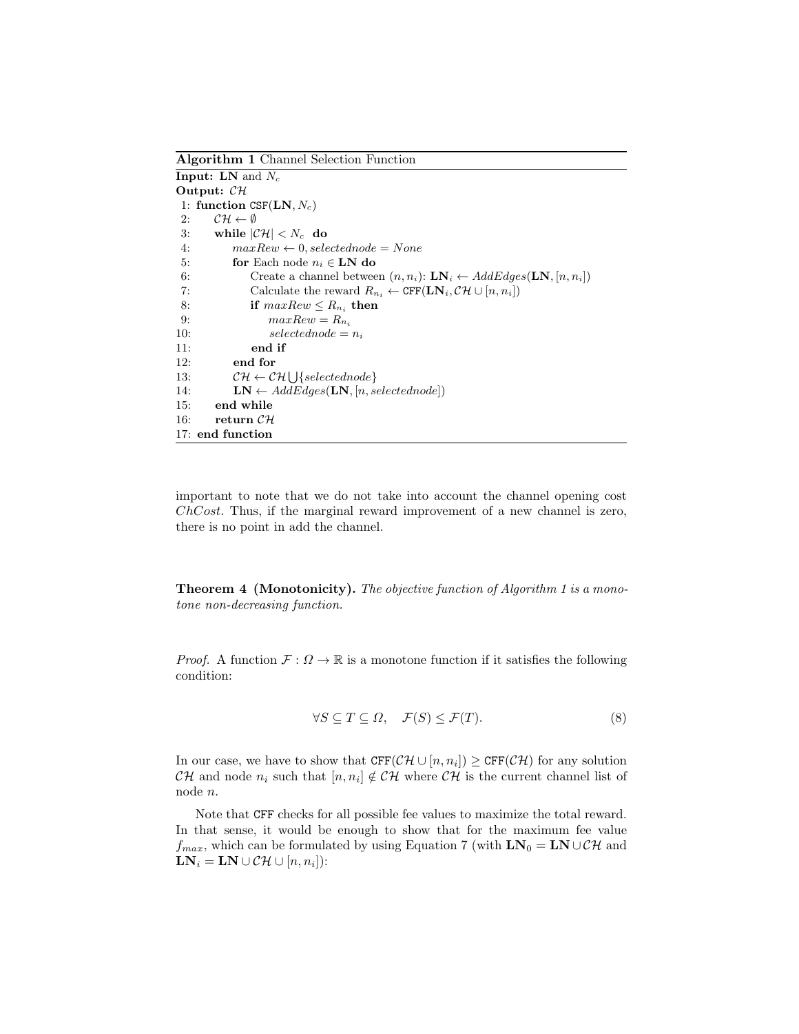Algorithm 1 Channel Selection Function

| <b>Input:</b> LN and $N_c$ |                                                                                                 |  |
|----------------------------|-------------------------------------------------------------------------------------------------|--|
| Output: $\mathcal{CH}$     |                                                                                                 |  |
| 1: function $CSF(LN, N_c)$ |                                                                                                 |  |
| 2:                         | $\mathcal{CH} \leftarrow \emptyset$                                                             |  |
| 3:                         | while $ \mathcal{CH}  < N_c$ do                                                                 |  |
| 4:                         | $maxRew \leftarrow 0, selectednode = None$                                                      |  |
| 5:                         | for Each node $n_i \in \mathbf{LN}$ do                                                          |  |
| 6:                         | Create a channel between $(n, n_i)$ : $LN_i \leftarrow AddEdges(LN, [n, n_i])$                  |  |
| 7:                         | Calculate the reward $R_{n_i} \leftarrow \text{CFF}(\mathbf{LN}_i, \mathcal{CH} \cup [n, n_i])$ |  |
| 8:                         | if $maxRew \leq R_{n_i}$ then                                                                   |  |
| 9:                         | $maxRew = R_{n_i}$                                                                              |  |
| 10:                        | $selected node = n_i$                                                                           |  |
| 11:                        | end if                                                                                          |  |
| 12:                        | end for                                                                                         |  |
| 13:                        | $\mathcal{CH} \leftarrow \mathcal{CH} \cup \{selectednode\}$                                    |  |
| 14:                        | $LN \leftarrow AddEdges(LN, [n, selected node])$                                                |  |
| 15:                        | end while                                                                                       |  |
| 16:                        | ${\bf return}~{\cal CH}$                                                                        |  |
|                            | 17: end function                                                                                |  |

important to note that we do not take into account the channel opening cost  $ChCost.$  Thus, if the marginal reward improvement of a new channel is zero, there is no point in add the channel.

Theorem 4 (Monotonicity). The objective function of Algorithm 1 is a monotone non-decreasing function.

*Proof.* A function  $\mathcal{F} : \Omega \to \mathbb{R}$  is a monotone function if it satisfies the following condition:

$$
\forall S \subseteq T \subseteq \Omega, \quad \mathcal{F}(S) \le \mathcal{F}(T). \tag{8}
$$

In our case, we have to show that  $CFF(\mathcal{CH} \cup [n, n_i]) \ge CFF(\mathcal{CH})$  for any solution  $\mathcal{CH}$  and node  $n_i$  such that  $[n, n_i] \notin \mathcal{CH}$  where  $\mathcal{CH}$  is the current channel list of node n.

Note that CFF checks for all possible fee values to maximize the total reward. In that sense, it would be enough to show that for the maximum fee value  $f_{max}$ , which can be formulated by using Equation 7 (with  $LN_0 = LN \cup \mathcal{CH}$  and  $\mathbf{LN}_i = \mathbf{LN} \cup \mathcal{CH} \cup [n, n_i]$ ):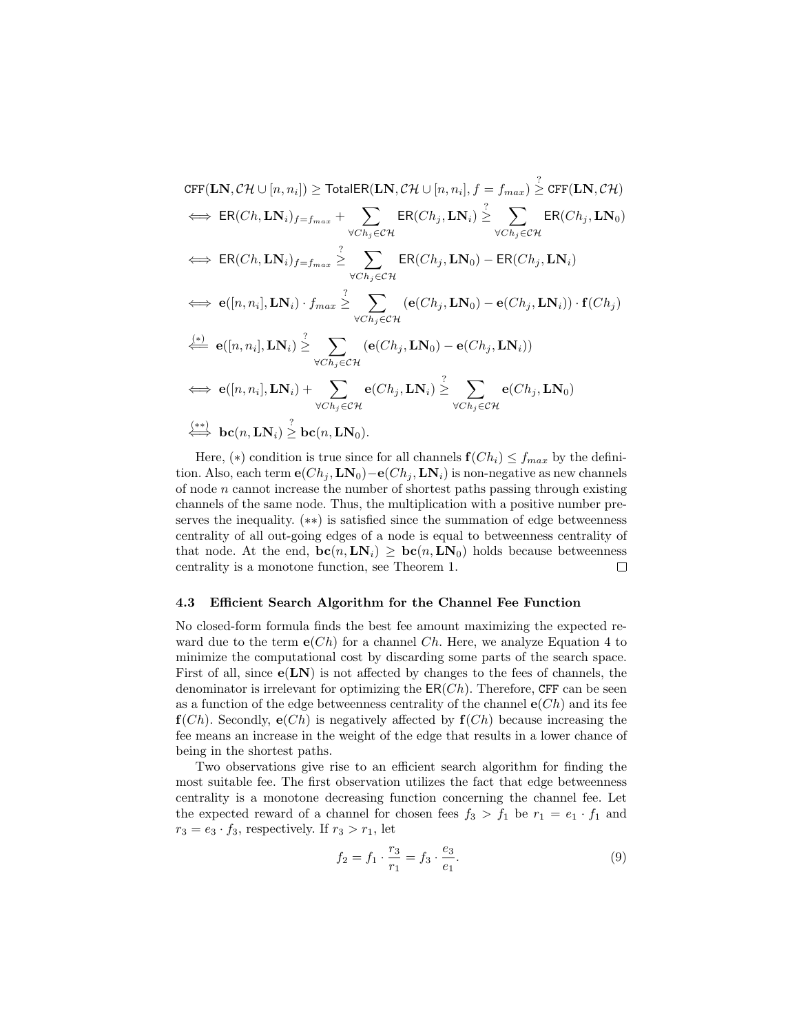$$
CFF(\mathbf{LN}, \mathcal{CH} \cup [n, n_i]) \geq \text{TotalER}(\mathbf{LN}, \mathcal{CH} \cup [n, n_i], f = f_{max}) \geq CFF(\mathbf{LN}, \mathcal{CH})
$$
  
\n
$$
\iff ER(Ch, \mathbf{LN}_i)_{f=f_{max}} + \sum_{\forall Ch_j \in \mathcal{CH}} ER(Ch_j, \mathbf{LN}_i) \geq \sum_{\forall Ch_j \in \mathcal{CH}} ER(Ch_j, \mathbf{LN}_0)
$$
  
\n
$$
\iff ER(Ch, \mathbf{LN}_i)_{f=f_{max}} \geq \sum_{\forall Ch_j \in \mathcal{CH}} ER(Ch_j, \mathbf{LN}_0) - ER(Ch_j, \mathbf{LN}_i)
$$
  
\n
$$
\iff e([n, n_i], \mathbf{LN}_i) \cdot f_{max} \geq \sum_{\forall Ch_j \in \mathcal{CH}} (e(Ch_j, \mathbf{LN}_0) - e(Ch_j, \mathbf{LN}_i)) \cdot f(Ch_j)
$$
  
\n
$$
\stackrel{(*)}{\iff} e([n, n_i], \mathbf{LN}_i) \geq \sum_{\forall Ch_j \in \mathcal{CH}} (e(Ch_j, \mathbf{LN}_0) - e(Ch_j, \mathbf{LN}_i))
$$
  
\n
$$
\iff e([n, n_i], \mathbf{LN}_i) + \sum_{\forall Ch_j \in \mathcal{CH}} e(Ch_j, \mathbf{LN}_i) \geq \sum_{\forall Ch_j \in \mathcal{CH}} e(Ch_j, \mathbf{LN}_0)
$$
  
\n
$$
\stackrel{(**)}{\iff} bc(n, \mathbf{LN}_i) \geq bc(n, \mathbf{LN}_0).
$$

Here, (\*) condition is true since for all channels  $f(Ch_i) \leq f_{max}$  by the definition. Also, each term  $e(Ch_j, LN_0) - e(Ch_j, LN_i)$  is non-negative as new channels of node  $n$  cannot increase the number of shortest paths passing through existing channels of the same node. Thus, the multiplication with a positive number preserves the inequality. (∗∗) is satisfied since the summation of edge betweenness centrality of all out-going edges of a node is equal to betweenness centrality of that node. At the end,  $\mathbf{bc}(n,\mathbf{LN}_i) \geq \mathbf{bc}(n,\mathbf{LN}_0)$  holds because betweenness centrality is a monotone function, see Theorem 1.  $\Box$ 

#### 4.3 Efficient Search Algorithm for the Channel Fee Function

No closed-form formula finds the best fee amount maximizing the expected reward due to the term  $e(Ch)$  for a channel Ch. Here, we analyze Equation 4 to minimize the computational cost by discarding some parts of the search space. First of all, since  $e(LN)$  is not affected by changes to the fees of channels, the denominator is irrelevant for optimizing the  $ER(Ch)$ . Therefore, CFF can be seen as a function of the edge betweenness centrality of the channel  $e(Ch)$  and its fee  $f(Ch)$ . Secondly,  $e(Ch)$  is negatively affected by  $f(Ch)$  because increasing the fee means an increase in the weight of the edge that results in a lower chance of being in the shortest paths.

Two observations give rise to an efficient search algorithm for finding the most suitable fee. The first observation utilizes the fact that edge betweenness centrality is a monotone decreasing function concerning the channel fee. Let the expected reward of a channel for chosen fees  $f_3 > f_1$  be  $r_1 = e_1 \cdot f_1$  and  $r_3 = e_3 \cdot f_3$ , respectively. If  $r_3 > r_1$ , let

$$
f_2 = f_1 \cdot \frac{r_3}{r_1} = f_3 \cdot \frac{e_3}{e_1}.
$$
 (9)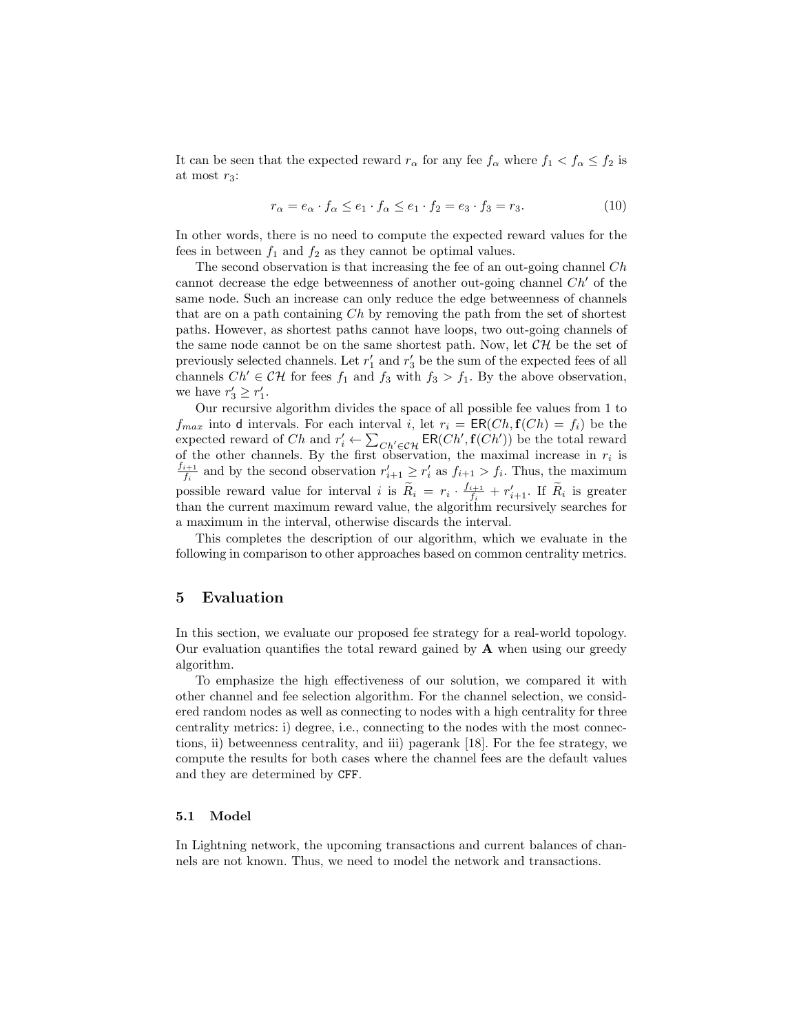It can be seen that the expected reward  $r_{\alpha}$  for any fee  $f_{\alpha}$  where  $f_1 < f_{\alpha} \leq f_2$  is at most  $r_3$ :

$$
r_{\alpha} = e_{\alpha} \cdot f_{\alpha} \le e_1 \cdot f_{\alpha} \le e_1 \cdot f_2 = e_3 \cdot f_3 = r_3. \tag{10}
$$

In other words, there is no need to compute the expected reward values for the fees in between  $f_1$  and  $f_2$  as they cannot be optimal values.

The second observation is that increasing the fee of an out-going channel  $Ch$ cannot decrease the edge betweenness of another out-going channel  $Ch'$  of the same node. Such an increase can only reduce the edge betweenness of channels that are on a path containing  $Ch$  by removing the path from the set of shortest paths. However, as shortest paths cannot have loops, two out-going channels of the same node cannot be on the same shortest path. Now, let  $\mathcal{CH}$  be the set of previously selected channels. Let  $r'_1$  and  $r'_3$  be the sum of the expected fees of all channels  $Ch' \in \mathcal{CH}$  for fees  $f_1$  and  $f_3$  with  $f_3 > f_1$ . By the above observation, we have  $r'_3 \geq r'_1$ .

Our recursive algorithm divides the space of all possible fee values from 1 to  $f_{max}$  into d intervals. For each interval i, let  $r_i = \text{ER}(Ch, \mathbf{f}(Ch) = f_i)$  be the expected reward of Ch and  $r'_i \leftarrow \sum_{Ch' \in \mathcal{CH}} \mathsf{ER}(Ch', \mathbf{f}(Ch'))$  be the total reward of the other channels. By the first observation, the maximal increase in  $r_i$  is  $f_{i+1}$  $\frac{i+1}{f_i}$  and by the second observation  $r'_{i+1} \geq r'_i$  as  $f_{i+1} > f_i$ . Thus, the maximum possible reward value for interval i is  $\widetilde{R}_i = r_i \cdot \frac{f_{i+1}}{f_i}$  $\frac{i+1}{f_i} + r'_{i+1}$ . If  $R_i$  is greater than the current maximum reward value, the algorithm recursively searches for a maximum in the interval, otherwise discards the interval.

This completes the description of our algorithm, which we evaluate in the following in comparison to other approaches based on common centrality metrics.

### 5 Evaluation

In this section, we evaluate our proposed fee strategy for a real-world topology. Our evaluation quantifies the total reward gained by  $A$  when using our greedy algorithm.

To emphasize the high effectiveness of our solution, we compared it with other channel and fee selection algorithm. For the channel selection, we considered random nodes as well as connecting to nodes with a high centrality for three centrality metrics: i) degree, i.e., connecting to the nodes with the most connections, ii) betweenness centrality, and iii) pagerank [18]. For the fee strategy, we compute the results for both cases where the channel fees are the default values and they are determined by CFF.

## 5.1 Model

In Lightning network, the upcoming transactions and current balances of channels are not known. Thus, we need to model the network and transactions.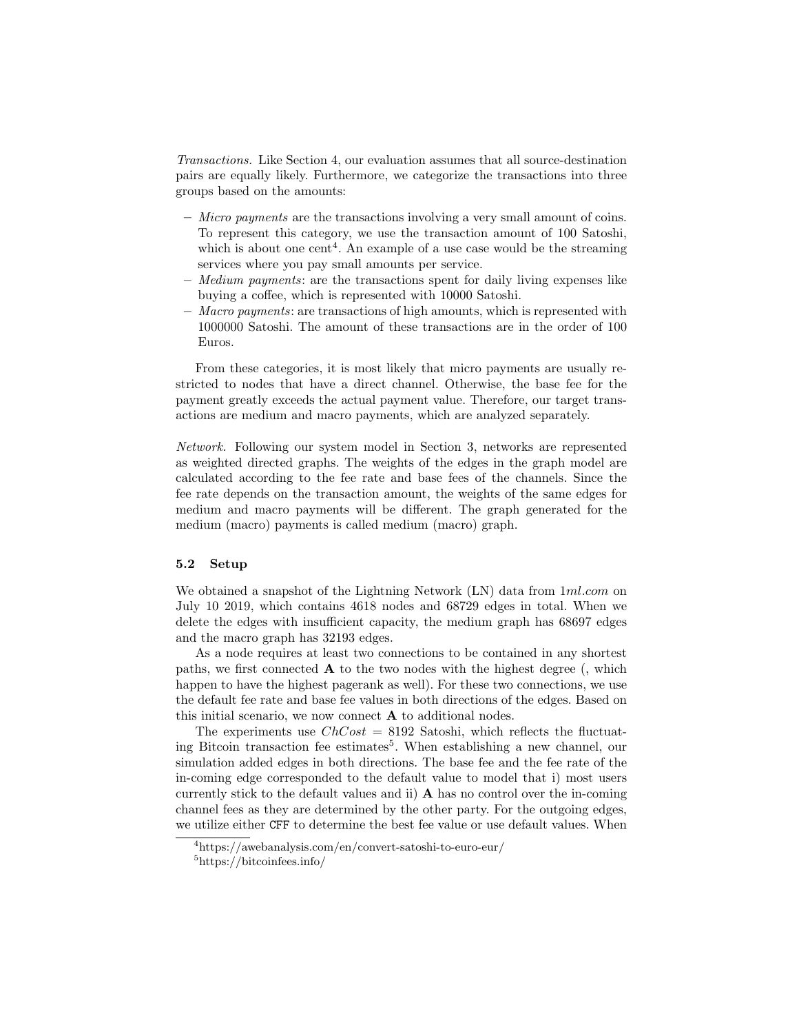Transactions. Like Section 4, our evaluation assumes that all source-destination pairs are equally likely. Furthermore, we categorize the transactions into three groups based on the amounts:

- $-$  *Micro payments* are the transactions involving a very small amount of coins. To represent this category, we use the transaction amount of 100 Satoshi, which is about one cent<sup>4</sup>. An example of a use case would be the streaming services where you pay small amounts per service.
- Medium payments: are the transactions spent for daily living expenses like buying a coffee, which is represented with 10000 Satoshi.
- $-$  *Macro payments:* are transactions of high amounts, which is represented with 1000000 Satoshi. The amount of these transactions are in the order of 100 Euros.

From these categories, it is most likely that micro payments are usually restricted to nodes that have a direct channel. Otherwise, the base fee for the payment greatly exceeds the actual payment value. Therefore, our target transactions are medium and macro payments, which are analyzed separately.

Network. Following our system model in Section 3, networks are represented as weighted directed graphs. The weights of the edges in the graph model are calculated according to the fee rate and base fees of the channels. Since the fee rate depends on the transaction amount, the weights of the same edges for medium and macro payments will be different. The graph generated for the medium (macro) payments is called medium (macro) graph.

#### 5.2 Setup

We obtained a snapshot of the Lightning Network  $(LN)$  data from  $1ml.com$  on July 10 2019, which contains 4618 nodes and 68729 edges in total. When we delete the edges with insufficient capacity, the medium graph has 68697 edges and the macro graph has 32193 edges.

As a node requires at least two connections to be contained in any shortest paths, we first connected  $A$  to the two nodes with the highest degree (, which happen to have the highest pagerank as well). For these two connections, we use the default fee rate and base fee values in both directions of the edges. Based on this initial scenario, we now connect A to additional nodes.

The experiments use  $ChCost = 8192$  Satoshi, which reflects the fluctuating Bitcoin transaction fee estimates<sup>5</sup>. When establishing a new channel, our simulation added edges in both directions. The base fee and the fee rate of the in-coming edge corresponded to the default value to model that i) most users currently stick to the default values and ii) A has no control over the in-coming channel fees as they are determined by the other party. For the outgoing edges, we utilize either CFF to determine the best fee value or use default values. When

<sup>4</sup>https://awebanalysis.com/en/convert-satoshi-to-euro-eur/

<sup>5</sup>https://bitcoinfees.info/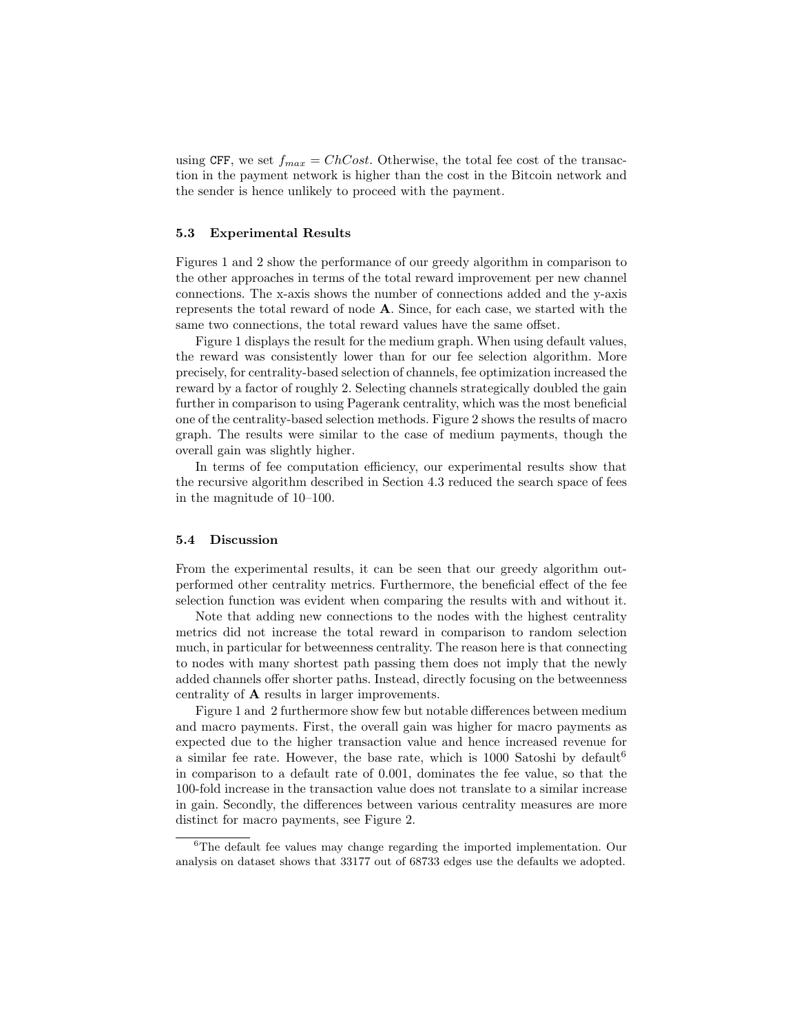using CFF, we set  $f_{max} = ChCost$ . Otherwise, the total fee cost of the transaction in the payment network is higher than the cost in the Bitcoin network and the sender is hence unlikely to proceed with the payment.

#### 5.3 Experimental Results

Figures 1 and 2 show the performance of our greedy algorithm in comparison to the other approaches in terms of the total reward improvement per new channel connections. The x-axis shows the number of connections added and the y-axis represents the total reward of node A. Since, for each case, we started with the same two connections, the total reward values have the same offset.

Figure 1 displays the result for the medium graph. When using default values, the reward was consistently lower than for our fee selection algorithm. More precisely, for centrality-based selection of channels, fee optimization increased the reward by a factor of roughly 2. Selecting channels strategically doubled the gain further in comparison to using Pagerank centrality, which was the most beneficial one of the centrality-based selection methods. Figure 2 shows the results of macro graph. The results were similar to the case of medium payments, though the overall gain was slightly higher.

In terms of fee computation efficiency, our experimental results show that the recursive algorithm described in Section 4.3 reduced the search space of fees in the magnitude of 10–100.

#### 5.4 Discussion

From the experimental results, it can be seen that our greedy algorithm outperformed other centrality metrics. Furthermore, the beneficial effect of the fee selection function was evident when comparing the results with and without it.

Note that adding new connections to the nodes with the highest centrality metrics did not increase the total reward in comparison to random selection much, in particular for betweenness centrality. The reason here is that connecting to nodes with many shortest path passing them does not imply that the newly added channels offer shorter paths. Instead, directly focusing on the betweenness centrality of A results in larger improvements.

Figure 1 and 2 furthermore show few but notable differences between medium and macro payments. First, the overall gain was higher for macro payments as expected due to the higher transaction value and hence increased revenue for a similar fee rate. However, the base rate, which is  $1000$  Satoshi by default<sup>6</sup> in comparison to a default rate of 0.001, dominates the fee value, so that the 100-fold increase in the transaction value does not translate to a similar increase in gain. Secondly, the differences between various centrality measures are more distinct for macro payments, see Figure 2.

 ${}^{6}$ The default fee values may change regarding the imported implementation. Our analysis on dataset shows that 33177 out of 68733 edges use the defaults we adopted.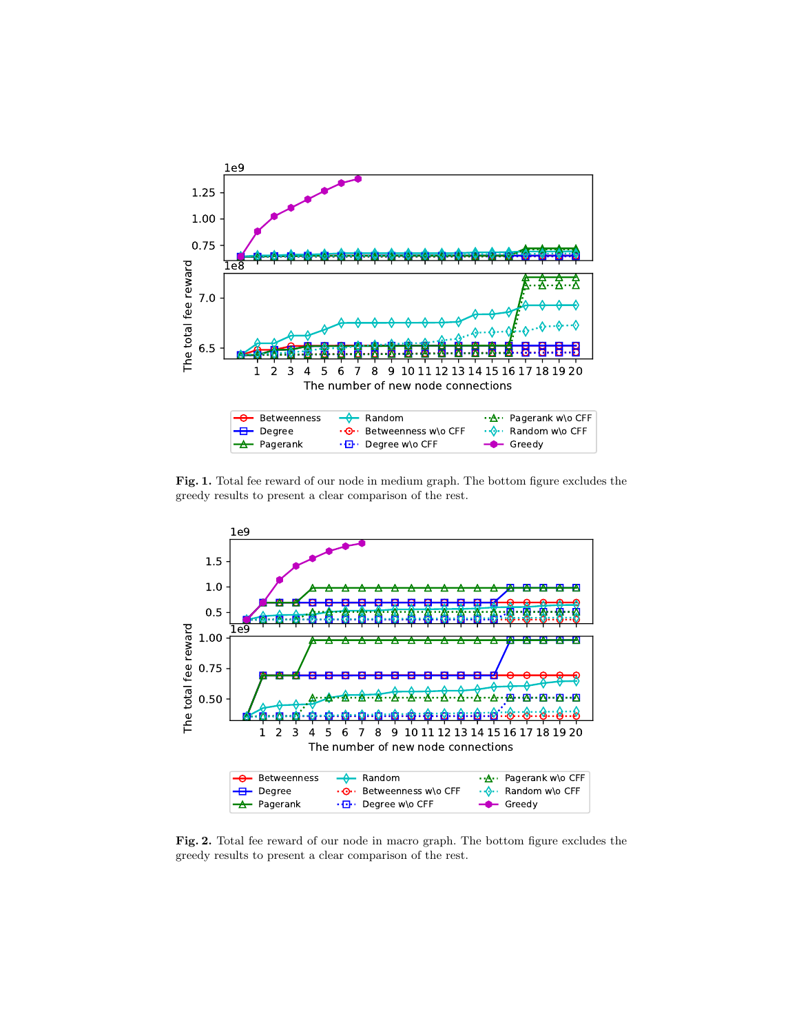

Fig. 1. Total fee reward of our node in medium graph. The bottom figure excludes the greedy results to present a clear comparison of the rest.



Fig. 2. Total fee reward of our node in macro graph. The bottom figure excludes the greedy results to present a clear comparison of the rest.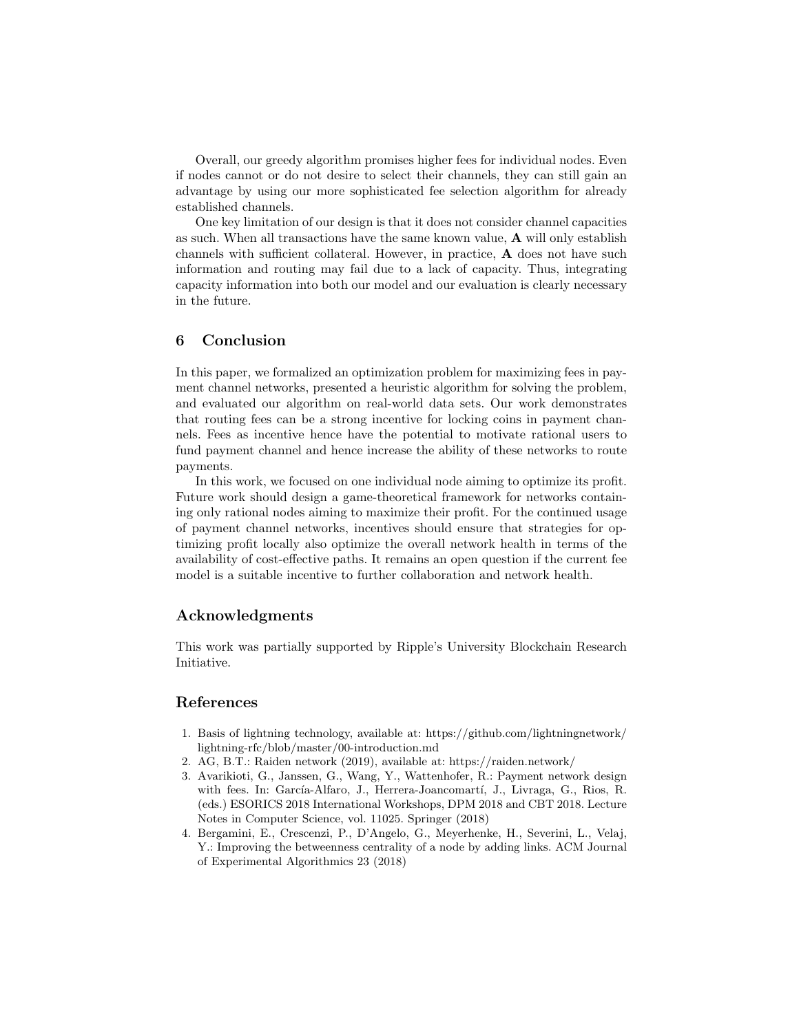Overall, our greedy algorithm promises higher fees for individual nodes. Even if nodes cannot or do not desire to select their channels, they can still gain an advantage by using our more sophisticated fee selection algorithm for already established channels.

One key limitation of our design is that it does not consider channel capacities as such. When all transactions have the same known value, A will only establish channels with sufficient collateral. However, in practice, A does not have such information and routing may fail due to a lack of capacity. Thus, integrating capacity information into both our model and our evaluation is clearly necessary in the future.

## 6 Conclusion

In this paper, we formalized an optimization problem for maximizing fees in payment channel networks, presented a heuristic algorithm for solving the problem, and evaluated our algorithm on real-world data sets. Our work demonstrates that routing fees can be a strong incentive for locking coins in payment channels. Fees as incentive hence have the potential to motivate rational users to fund payment channel and hence increase the ability of these networks to route payments.

In this work, we focused on one individual node aiming to optimize its profit. Future work should design a game-theoretical framework for networks containing only rational nodes aiming to maximize their profit. For the continued usage of payment channel networks, incentives should ensure that strategies for optimizing profit locally also optimize the overall network health in terms of the availability of cost-effective paths. It remains an open question if the current fee model is a suitable incentive to further collaboration and network health.

## Acknowledgments

This work was partially supported by Ripple's University Blockchain Research Initiative.

# References

- 1. Basis of lightning technology, available at: https://github.com/lightningnetwork/ lightning-rfc/blob/master/00-introduction.md
- 2. AG, B.T.: Raiden network (2019), available at: https://raiden.network/
- 3. Avarikioti, G., Janssen, G., Wang, Y., Wattenhofer, R.: Payment network design with fees. In: García-Alfaro, J., Herrera-Joancomartí, J., Livraga, G., Rios, R. (eds.) ESORICS 2018 International Workshops, DPM 2018 and CBT 2018. Lecture Notes in Computer Science, vol. 11025. Springer (2018)
- 4. Bergamini, E., Crescenzi, P., D'Angelo, G., Meyerhenke, H., Severini, L., Velaj, Y.: Improving the betweenness centrality of a node by adding links. ACM Journal of Experimental Algorithmics 23 (2018)